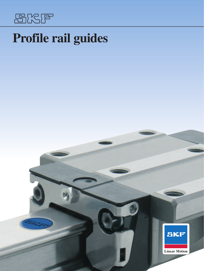

# **Profile rail guides**

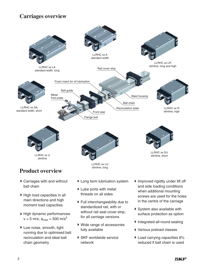# **Carriages overview**



- Carriages with and without ball chain
- ▶ High load capacities in all main directions and high moment load capacities
- High dynamic performances:  $v = 5$  m/s;  $a_{max} = 500$  m/s<sup>2</sup>
- Low noise, smooth, light running due to optimised ball recirculation and ideal ball chain geometry
- Long term lubrication system
- Lube ports with metal threads on all sides
- Full interchangeability due to standardized rail, with or without rail seal cover strip, for all carriage versions
- Wide range of accessories fully available
- ▶ SKF worldwide service network
- Improved rigidity under lift off and side loading conditions when additional mounting screws are used for the holes in the centre of the carriage
- System also available with surface protection as option
- Integrated all-round sealing
- Various preload classes
- ▶ Load carrying capacities 8% reduced if ball chain is used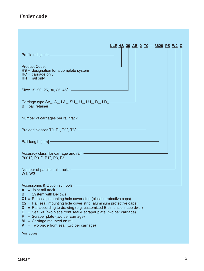# **Order code**

| <u>LLR HS 30 AB 2 T0 - 3820 P5 W2 C</u>                                                                                                                                                                                                                                                                                                                                                                                                                                                                                               |
|---------------------------------------------------------------------------------------------------------------------------------------------------------------------------------------------------------------------------------------------------------------------------------------------------------------------------------------------------------------------------------------------------------------------------------------------------------------------------------------------------------------------------------------|
|                                                                                                                                                                                                                                                                                                                                                                                                                                                                                                                                       |
| $HS =$ designation for a complete system<br>$HC =$ carriage only<br>$HR =$ rail only                                                                                                                                                                                                                                                                                                                                                                                                                                                  |
| Size: 15, 20, 25, 30, 35, 45 <sup>*</sup> ————————————————————                                                                                                                                                                                                                                                                                                                                                                                                                                                                        |
| Carriage type SA_, A_, LA_, SU_, U_, LU_, R_, LR___________<br>$B =$ ball retainer                                                                                                                                                                                                                                                                                                                                                                                                                                                    |
| Number of carriages per rail track <b>Constant of the Constant of Constant</b>                                                                                                                                                                                                                                                                                                                                                                                                                                                        |
| Preload classes T0, T1, T2 <sup>*</sup> , T3 <sup>*</sup>                                                                                                                                                                                                                                                                                                                                                                                                                                                                             |
| Rail length [mm] - and the contract of the contract of the contract of the contract of the contract of the contract of the contract of the contract of the contract of the contract of the contract of the contract of the con                                                                                                                                                                                                                                                                                                        |
| Accuracy class [for carriage and rail] - The Commission of the Commission of the Commission of the Commission<br>P001*, P01*, P1*, P3, P5                                                                                                                                                                                                                                                                                                                                                                                             |
| W1, W2                                                                                                                                                                                                                                                                                                                                                                                                                                                                                                                                |
| Accessories & Option symbols: —<br>$A =$ Joint rail track<br>= System with Bellows<br>B<br>C1 = Rail seal, mounting hole cover strip (plastic protective caps)<br>$C2$ = Rail seal, mounting hole cover strip (aluminium protective caps)<br>$=$ Rail according to drawing (e.g. customized E dimension, see dws.)<br>D<br>= Seal kit (two piece front seal & scraper plate, two per carriage)<br>Е<br>F<br>= Scraper plate (two per carriage)<br>$=$ Carriage mounted on rail<br>M<br>= Two piece front seal (two per carriage)<br>V |

**\***on request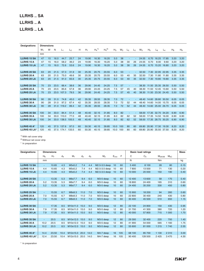# **LLRHS .. SA LLRHS .. A LLRHS .. LA**

| <b>Designations</b> | <b>Dimensions</b> |    |      |       |                |    |       |            |            |       |       |       |                |       |                |       |       |       |                |
|---------------------|-------------------|----|------|-------|----------------|----|-------|------------|------------|-------|-------|-------|----------------|-------|----------------|-------|-------|-------|----------------|
|                     | $W_1$             | W  | N    | L1    | L <sub>2</sub> | н  | $H_1$ | $H_4^{1)}$ | $H_a^{2)}$ | $H_3$ | $W_2$ | $L_3$ | L <sub>5</sub> | $W_3$ | H <sub>5</sub> | $L_6$ | $L_4$ | $H_8$ | H <sub>9</sub> |
|                     | mm                |    |      |       |                |    |       |            |            |       |       |       |                |       |                |       |       |       |                |
| <b>LLRHS 15 SA</b>  | 47                | 15 | 16.0 | 44.7  | 25.7           | 24 | 19.90 | 16.30      | 16.20      | 5.0   | 38    |       |                | 24.55 | 6.70           | 16.25 | 17.85 | 3.20  | 3.20           |
| <b>LLRHS 15 A</b>   | 47                | 15 | 16.0 | 58.2  | 39.2           | 24 | 19.90 | 16.30      | 16.20      | 5.0   | 38    | 30    | 26             | 24.55 | 6.70           | 8.00  | 9.60  | 3.20  | 3.20           |
| <b>LLRHS 15 LA</b>  | 47                | 15 | 16.0 | 72.6  | 53.6           | 24 | 19.90 | 16.30      | 16.20      | 5.0   | 38    | 30    | 26             | 24.55 | 6.70           | 15.20 | 16.80 | 3.20  | 3.20           |
|                     |                   |    |      |       |                |    |       |            |            |       |       |       |                |       |                |       |       |       |                |
| <b>LLRHS 20 SA</b>  | 63                | 20 | 21.5 | 57.3  | 31.9           | 30 | 25.35 | 20.75      | 20.55      | 6.0   | 53    | ٠     |                | 32.50 | 7.30           | 22.95 | 22.95 | 3.35  | 3.35           |
| <b>LLRHS 20 A</b>   | 63                | 20 | 21.5 | 75.0  | 49.6           | 30 | 25.35 | 20.75      | 20.55      | 6.0   | 53    | 40    | 35             | 32.50 | 7.30           | 11.80 | 11.80 | 3.35  | 3.35           |
| <b>LLRHS 20 LA</b>  | 63                | 20 | 21.5 | 91.0  | 65.6           | 30 | 25.35 | 20.75      | 20.55      | 6.0   | 53    | 40    | 35             | 32.50 | 7.30           | 19.80 | 19.80 | 3.35  | 3.35           |
|                     |                   |    |      |       |                |    |       |            |            |       |       |       |                |       |                |       |       |       |                |
| <b>LLRHS 25 SA</b>  | 70                | 23 | 23.5 | 66.4  | 38.6           | 36 | 29.90 | 24.45      | 24.25      | 7.5   | 57    |       |                | 38.30 | 11.50          | 25.35 | 26.50 | 5.50  | 5.50           |
| <b>LLRHS 25 A</b>   | 70                | 23 | 23.5 | 85.6  | 57.8           | 36 | 29.90 | 24.45      | 24.25      | 7.5   | 57    | 45    | 40             | 38.30 | 11.50          | 12.45 | 13.60 | 5.50  | 5.50           |
| <b>LLRHS 25 LA</b>  | 70                | 23 | 23.5 | 107.3 | 79.5           | 36 | 29.90 | 24.45      | 24.25      | 7.5   | 57    | 45    | 40             | 38.30 | 11.50 23.30    |       | 24.45 | 5.50  | 5.50           |
|                     |                   |    |      |       |                |    |       |            |            |       |       |       |                |       |                |       |       |       |                |
| <b>LLRHS 30 SA</b>  | 90                | 28 | 31.0 | 74.8  | 45.0           | 42 | 35.35 | 28.55      | 28.35      | 7.0   | 72    | ٠     |                | 48.40 | 14.60          | 28.80 | 30.50 | 6.05  | 6.05           |
| <b>LLRHS 30 A</b>   | 90                | 28 | 31.0 | 97.2  | 67.4           | 42 | 35.35 | 28.55      | 28.35      | 7.0   | 72    | 52    | 44             | 48.40 | 14.60          | 14.00 | 15.70 | 6.05  | 6.05           |
| <b>LLRHS 30 LA</b>  | 90                | 28 | 31.0 | 119.2 | 89.4           | 42 | 35.35 | 28.55      | 28.35      | 7.0   | 72    | 52    | 44             | 48.40 | 14.60          | 25.00 | 26.70 | 6.05  | 6.05           |
|                     |                   |    |      |       |                |    |       |            |            |       |       |       |                |       |                |       |       |       |                |
| <b>LLRHS 35 SA</b>  | 100               | 34 | 33.0 | 84.4  | 51.4           | 48 | 40.40 | 32.15      | 31.85      | 8.0   | 82    | ٠     |                | 58.00 | 17.35          | 32.70 | 34.20 | 6.90  | 6.90           |
| <b>LLRHS 35 A</b>   | 100               | 34 | 33.0 | 110.0 | 77.0           | 48 | 40.40 | 32.15      | 31.85      | 8.0   | 82    | 62    | 52             | 58.00 | 17.35          | 14.50 | 16.00 | 6.90  | 6.90           |
| <b>LLRHS 35 LA</b>  | 100               | 34 | 33.0 | 138.5 | 105.5          | 48 | 40.40 | 32.15      | 31.85      | 8.0   | 82    | 62    | 52             | 58.00 | 17.35          | 28.75 | 30.25 | 6.90  | 6.90           |
|                     |                   |    |      |       |                |    |       |            |            |       |       |       |                |       |                |       |       |       |                |
| LLRHS 45 A*         | 120               | 45 | 37.5 | 137.6 | 97.0           | 60 | 50.30 | 40.15      | 39.85      | 10.0  | 100   | 80    | 60             | 69.80 | 20.90          | 17.30 | 19.30 | 8.20  | 8.20           |
| LLRHS 45 LA*        | 120               | 45 | 37.5 | 174.1 | 133.5          | 60 | 50.30 | 40.15      | 39.85      | 10.0  | 100   | 80    | 60             | 69.80 | 20.90          | 35.50 | 37.50 | 8.20  | 8.20           |

<sup>1)</sup> With rail cover strip

2) Without rail cover strip

\* In preparation

| <b>Designations</b> |                | <b>Dimensions</b> |       |               |       |       |                        |           |     |              | <b>Basic load ratings</b> |             |          | <b>Mass</b> |
|---------------------|----------------|-------------------|-------|---------------|-------|-------|------------------------|-----------|-----|--------------|---------------------------|-------------|----------|-------------|
|                     | H <sub>6</sub> | H <sub>7</sub>    | $d_4$ | $M_1$         | $d_2$ | $d_3$ | $M_{2}$                | $E_{min}$ | E   | C            | $C_0$                     | $M_{0A/0B}$ | $M_{0C}$ |             |
|                     | mm             |                   |       |               |       |       |                        |           |     | $\mathsf{N}$ |                           | Nm          |          | kg          |
| <b>LLRHS 15 SA</b>  | ÷.             | 10.65             | 4.3   | M5x5.2        | 7.4   | 4.4   | M2.5-3.5 deep          | 10        | 60  | 5 4 0 0      | 8 100                     | 28          | 80       | 0.15        |
| <b>LLRHS 15 A</b>   | 4.4            | 10.65             | 4.3   | M5x5.2        | 7.4   | 4.4   | M2.5-3.5 deep          | 10        | 60  | 7800         | 13 500                    | 71          | 130      | 0.20        |
| <b>LLRHS 15 LA</b>  | 4.4            | 10.65             | 4.3   | M5x5.2        | 7.4   | 4.4   | M2.5-3.5 deep          | 10        | 60  | 10 000       | 20 000                    | 150         | 190      | 0.40        |
|                     |                |                   |       |               |       |       |                        |           |     |              |                           |             |          |             |
| <b>LLRHS 20 SA</b>  | $\sim$         | 13.35             | 5.3   | M6x7.7        | 9.4   | 6.0   | M <sub>3</sub> -5 deep | 10        | 60  | 12 400       | 13 600                    | 58          | 170      | 0.40        |
| <b>LLRHS 20 A</b>   | 5.2            | 13.35             | 5.3   | M6x7.7        | 9.4   | 6.0   | M <sub>3</sub> -5 deep | 10        | 60  | 18 800       | 24 400                    | 165         | 310      | 0.60        |
| <b>LLRHS 20 LA</b>  | 5.2            | 13.35             | 5.3   | M6x7.7        | 9.4   | 6.0   | M3-5 deep              | 10        | 60  | 24 400       | 35 200                    | 330         | 450      | 0.80        |
|                     |                |                   |       |               |       |       |                        |           |     |              |                           |             |          |             |
| <b>LLRHS 25 SA</b>  | $\sim$         | 15.55             | 6.7   | M8x9.3        | 11.0  | 7.0   | M <sub>3</sub> -5 deep | 10        | 60  | 15 900       | 18 200                    | 94          | 260      | 0.60        |
| <b>LLRHS 25 A</b>   | 7.0            | 15.55             | 6.7   | M8x9.3        | 11.0  | 7.0   | M3-5 deep              | 10        | 60  | 22 800       | 30 400                    | 240         | 430      | 0.80        |
| <b>LLRHS 25 LA</b>  | 7.0            | 15.55             | 6.7   | M8x9.3        | 11.0  | 7.0   | M <sub>3</sub> -5 deep | 10        | 60  | 30 400       | 45 500                    | 510         | 650      | 1.15        |
|                     |                |                   |       |               |       |       |                        |           |     |              |                           |             |          |             |
| <b>LLRHS 30 SA</b>  | ÷.             | 17.35             | 8.5   | M10x11.0      | 15.0  | 9.0   | M <sub>3</sub> -5 deep | 12        | 80  | 22 100       | 24 800                    | 150         | 430      | 0.95        |
| LLRHS 30 A          | 7.9            | 17.35             | 8.5   | M10x11.0      | 15.0  | 9.0   | M3-5 deep              | 12        | 80  | 31 700       | 41 300                    | 380         | 720      | 1.20        |
| <b>LLRHS 30 LA</b>  | 7.9            | 17.35             | 8.5   | M10x11.0      | 15.0  | 9.0   | M3-5 deep              | 12        | 80  | 40 000       | 57 800                    | 715         | 1 0 0 0  | 1.70        |
|                     |                |                   |       |               |       |       |                        |           |     |              |                           |             |          |             |
| <b>LLRHS 35 SA</b>  | ÷.             | 20.5              | 8.5   | M10x12.0 15.0 |       | 9.0   | M <sub>3</sub> -5 deep | 12        | 80  | 29 300       | 32 400                    | 220         | 700      | 1.40        |
| <b>LLRHS 35 A</b>   | 10.2           | 20.5              | 8.5   | M10x12.0      | 15.0  | 9.0   | M3-5 deep              | 12        | 80  | 41 900       | 54 000                    | 565         | 1 1 6 0  | 1.75        |
| <b>LLRHS 35 LA</b>  | 10.2           | 20.5              | 8.5   | M10x12.0 15.0 |       | 9.0   | M <sub>3</sub> -5 deep | 12        | 80  | 55 600       | 81 000                    | 1 2 1 5     | 1 740    | 2.55        |
|                     |                |                   |       |               |       |       |                        |           |     |              |                           |             |          |             |
| LLRHS 45 A*         | 14.4           | 23.50             | 10.4  | M12x15.0      | 20.0  | 14.0  | M4-7 deep              | 16        | 105 | 68 100       | 85 700                    | 1 1 3 0     | 2 3 1 0  | 3.00        |
| LLRHS 45 LA*        | 12.4           | 23.50             | 10.4  | M12x15.0      | 20.0  | 14.0  | M4-7 deep              | 16        | 105 | 90 400       | 128 500                   | 2 4 2 5     | 3 4 7 0  | 4.30        |

\* In preparation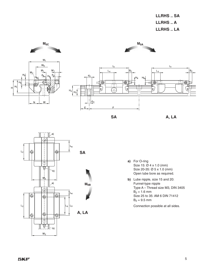**LLRHS .. SA LLRHS .. A LLRHS .. LA**





- **a)** For O-ring Size 15: Ø 4 x 1.0 (mm) Size 20-35: Ø 5 x 1.0 (mm) Open lube bore as required.
- **b)** Lube nipple, size 15 and 20: Funnel-type nipple Type A – Thread size M3, DIN 3405  $B_2 = 1.6$  mm Size 25 to 35: AM 6 DIN 71412  $B_2 = 9.5$  mm

Connection possible at all sides.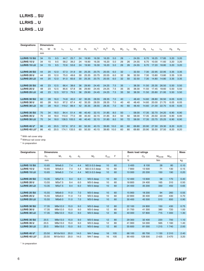# **LLRHS .. SU LLRHS .. U LLRHS .. LU**

| <b>Designations</b> | <b>Dimensions</b> |    |      |                |                |    |       |            |         |       |       |                          |       |                |                |       |       |                |
|---------------------|-------------------|----|------|----------------|----------------|----|-------|------------|---------|-------|-------|--------------------------|-------|----------------|----------------|-------|-------|----------------|
|                     | $W_1$             | W  | N    | L <sub>1</sub> | L <sub>2</sub> | H  | $H_1$ | $H_4^{1)}$ | $H_4^2$ | $H_3$ | $W_2$ | $L_3$                    | $W_3$ | H <sub>5</sub> | L <sub>6</sub> | $L_4$ | $H_8$ | H <sub>9</sub> |
|                     | mm                |    |      |                |                |    |       |            |         |       |       |                          |       |                |                |       |       |                |
| <b>LLRHS 15 SU</b>  | 34                | 15 | 9.5  | 44.7           | 25.7           | 24 | 19.90 | 16.30      | 16.20   | 5.0   | 26    | ٠                        | 24.55 | 6.70           | 16.25          | 17.85 | 3.20  | 3.20           |
| <b>LLRHS 15 U</b>   | 34                | 15 | 9.5  | 58.2           | 39.2           | 24 | 19.90 | 16.30      | 16.20   | 5.0   | 26    | 26                       | 24.55 | 6.70           | 10.00          | 11.60 | 3.20  | 3.20           |
| <b>LLRHS 15 LU</b>  | 34                | 15 | 9.5  | 72.6           | 53.6           | 24 | 19.90 | 16.30      | 16.20   | 5.0   | 26    | 26                       | 24.55 | 6.70           | 17.20          | 18.80 | 3.20  | 3.20           |
|                     |                   |    |      |                |                |    |       |            |         |       |       |                          |       |                |                |       |       |                |
| <b>LLRHS 20 SU</b>  | 44                | 20 | 12.0 | 57.3           | 31.9           | 30 | 25.35 | 20.75      | 20.55   | 6.0   | 32    | ٠                        | 32.50 | 7.30           | 22.95          | 22.95 | 3.35  | 3.35           |
| <b>LLRHS 20 U</b>   | 44                | 20 | 12.0 | 75.0           | 49.6           | 30 | 25.35 | 20.75      | 20.55   | 6.0   | 32    | 36                       | 32.50 | 7.30           | 13.80          | 13.80 | 3.35  | 3.35           |
| <b>LLRHS 20 LU</b>  | 44                | 20 | 12.0 | 91.0           | 65.6           | 30 | 25.35 | 20.75      | 20.55   | 6.0   | 32    | 50                       | 32.50 | 7.30           | 14.80          | 14.80 | 3.35  | 3.35           |
|                     |                   |    |      |                |                |    |       |            |         |       |       |                          |       |                |                |       |       |                |
| <b>LLRHS 25 SU</b>  | 48                | 23 | 12.5 | 66.4           | 38.6           | 36 | 29.90 | 24.45      | 24.25   | 7.5   | 35    | ٠                        | 38.30 | 11.50          | 25.35          | 26.50 | 5.50  | 5.50           |
| <b>LLRHS 25 U</b>   | 48                | 23 | 12.5 | 85.6           | 57.8           | 36 | 29.90 | 24.45      | 24.25   | 7.5   | 35    | 35                       | 38.30 | 11.50          | 17.45          | 18.60 | 5.50  | 5.50           |
| <b>LLRHS 25 LU</b>  | 48                | 23 | 12.5 | 107.3          | 79.5           | 36 | 29.90 | 24.45      | 24.25   | 7.5   | 35    | 50                       | 38.30 | 11.50          | 20.80          | 21.95 | 5.50  | 5.50           |
|                     |                   |    |      |                |                |    |       |            |         |       |       |                          |       |                |                |       |       |                |
| <b>LLRHS 30 SU</b>  | 60                | 28 | 16.0 | 74.8           | 45.0           | 42 | 35.35 | 28.55      | 28.35   | 7.0   | 40    | ٠                        | 48.40 | 14.60          | 28.80          | 30.50 | 6.05  | 6.05           |
| LLRHS 30 U          | 60                | 28 | 16.0 | 97.2           | 67.4           | 42 | 35.35 | 28.55      | 28.35   | 7.0   | 40    | 40                       | 48.40 | 14.60          | 20.00          | 21.70 | 6.05  | 6.05           |
| <b>LLRHS 30 LU</b>  | 60                | 28 | 16.0 | 119.2          | 89.4           | 42 | 35.35 | 28.55      | 28.35   | 7.0   | 40    | 60                       | 48.40 | 14.60          | 21.00          | 22.70 | 6.05  | 6.05           |
|                     |                   |    |      |                |                |    |       |            |         |       |       |                          |       |                |                |       |       |                |
| <b>LLRHS 35 SU</b>  | 70                | 34 | 18.0 | 84.4           | 51.4           | 48 | 40.40 | 32.15      | 31.85   | 8.0   | 50    | $\overline{\phantom{a}}$ | 58.00 | 17.35          | 32.70          | 34.20 | 6.90  | 6.90           |
| <b>LLRHS 35 U</b>   | 70                | 34 | 18.0 | 110.0          | 77.0           | 48 | 40.40 | 32.15      | 31.85   | 8.0   | 50    | 50                       | 58.00 | 17.35          | 20.50          | 22.00 | 6.90  | 6.90           |
| <b>LLRHS 35 LU</b>  | 70                | 34 | 18.0 | 138.5          | 105.5          | 48 | 40.40 | 32.15      | 31.85   | 8.0   | 50    | 72                       | 58.00 | 17.35          | 23.75          | 25.25 | 6.90  | 6.90           |
|                     |                   |    |      |                |                |    |       |            |         |       |       |                          |       |                |                |       |       |                |
| LLRHS 45 U*         | 86                | 45 | 20.5 | 137.6          | 97.0           | 60 | 50.30 | 40.15      | 39.85   | 10.0  | 60    | 60                       | 69.80 | 20.90          | 27.30          | 29.30 | 8.20  | 8.20           |
| LLRHS 45 LU*        | 86                | 45 | 20.5 | 174.1          | 133.5          | 60 | 50.30 | 40.15      | 39.85   | 10.0  | 60    | 80                       | 69.80 | 20.90          | 35.50          | 37.50 | 8.20  | 8.20           |

<sup>1)</sup> With rail cover strip

2) Without rail cover strip

\* In preparation

| <b>Designations</b> | <b>Dimensions</b><br><b>Basic load ratings</b> |          |                |       |                        |           |     |         |         |             |          | <b>Mass</b> |
|---------------------|------------------------------------------------|----------|----------------|-------|------------------------|-----------|-----|---------|---------|-------------|----------|-------------|
|                     | H <sub>7</sub>                                 | $M_1$    | d <sub>2</sub> | $d_3$ | M <sub>2</sub>         | $E_{min}$ | F   | C       | $C_0$   | $M_{0A/0B}$ | $M_{0C}$ |             |
|                     | mm                                             |          |                |       |                        |           |     | N       |         | <b>Nm</b>   |          | kg          |
| <b>LLRHS 15 SU</b>  | 10.65                                          | M4x6.0   | 7.4            | 4.4   | M2.5-3.5 deep          | 10        | 60  | 5 4 0 0 | 8 100   | 28          | 80       | 0.10        |
| <b>LLRHS 15 U</b>   | 10.65                                          | M4x6.0   | 7.4            | 4.4   | M2.5-3.5 deep          | 10        | 60  | 7800    | 13 500  | 71          | 130      | 0.15        |
| <b>LLRHS 15 LU</b>  | 10.65                                          | M4x6.0   | 7.4            | 4.4   | M2.5-3.5 deep          | 10        | 60  | 10 000  | 20 200  | 150         | 190      | 0.20        |
|                     |                                                |          |                |       |                        |           |     |         |         |             |          |             |
| <b>LLRHS 20 SU</b>  | 13.35                                          | M5x7.5   | 9.4            | 6.0   | M3-5 deep              | 10        | 60  | 12 400  | 13 600  | 58          | 170      | 0.40        |
| <b>LLRHS 20 U</b>   | 13.55                                          | M5x7.5   | 9.4            | 6.0   | M3-5 deep              | 10        | 60  | 18 800  | 24 400  | 165         | 310      | 0.50        |
| <b>LLRHS 20 LU</b>  | 13.35                                          | M5x7.5   | 9.4            | 6.0   | M3-5 deep              | 10        | 60  | 24 400  | 35 200  | 330         | 450      | 0.65        |
|                     |                                                |          |                |       |                        |           |     |         |         |             |          |             |
| <b>LLRHS 25 SU</b>  | 15.55                                          | M6x9.0   | 11.0           | 7.0   | M <sub>3</sub> -5 deep | 10        | 60  | 15 900  | 18 200  | 94          | 260      | 0.55        |
| <b>LLRHS 25 U</b>   | 15.55                                          | M6x9.0   | 11.0           | 7.0   | M <sub>3</sub> -5 deep | 10        | 60  | 22 800  | 30 400  | 240         | 430      | 0.70        |
| <b>LLRHS 25 LU</b>  | 15.55                                          | M6x9.0   | 11.0           | 7.0   | M3-5 deep              | 10        | 60  | 30 400  | 45 500  | 510         | 650      | 0.90        |
|                     |                                                |          |                |       |                        |           |     |         |         |             |          |             |
| <b>LLRHS 30 SU</b>  | 17.35                                          | M8x12.0  | 15.0           | 9.0   | M3-5 deep              | 12        | 80  | 22 100  | 24 800  | 150         | 430      | 0.75        |
| LLRHS 30 U          | 17.35                                          | M8x12.0  | 15.0           | 9.0   | M3-5 deep              | 12        | 80  | 31 700  | 41 300  | 380         | 720      | 1.00        |
| <b>LLRHS 30 LU</b>  | 17.35                                          | M8x12.0  | 15.0           | 9.0   | M3-5 deep              | 12        | 80  | 40 000  | 57 800  | 715         | 1 0 0 0  | 1.30        |
|                     |                                                |          |                |       |                        |           |     |         |         |             |          |             |
| <b>LLRHS 35 SU</b>  | 20.5                                           | M8x13.0  | 15.0           | 9.0   | M3-5 deep              | 12        | 80  | 29 300  | 32 400  | 220         | 700      | 1.10        |
| LLRHS 35 U          | 20.5                                           | M8x13.0  | 15.0           | 9.0   | M3-5 deep              | 12        | 80  | 41 900  | 54 000  | 565         | 1 1 6 0  | 1.40        |
| <b>LLRHS 35 LU</b>  | 20.5                                           | M8x13.0  | 15.0           | 9.0   | M3-5 deep              | 12        | 80  | 55 600  | 81 000  | 1 2 1 5     | 1 740    | 2.00        |
|                     |                                                |          |                |       |                        |           |     |         |         |             |          |             |
| <b>LLRHS 45 U*</b>  | 23.50                                          | M10x18.0 | 20.0           | 14.0  | M4-7 deep              | 16        | 105 | 68 100  | 85 700  | 1 1 3 0     | 2 3 1 0  | 2.40        |
| LLRHS 45 LU*        | 23.50                                          | M10x18.0 | 20.0           | 14.0  | M4-7 deep              | 16        | 105 | 90 400  | 128 500 | 2 4 2 5     | 3 4 7 0  | 3.20        |

\* In preparation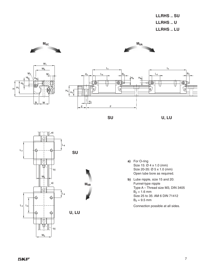**LLRHS .. SU LLRHS .. U LLRHS .. LU** 







**SU U, LU**







- **a)** For O-ring Size 15: Ø 4 x 1.0 (mm) Size 20-35: Ø 5 x 1.0 (mm) Open lube bore as required.
- **b)** Lube nipple, size 15 and 20: Funnel-type nipple Type A – Thread size M3, DIN 3405  $B_2 = 1.6$  mm Size 25 to 35: AM 6 DIN 71412  $B_2 = 9.5$  mm

Connection possible at all sides.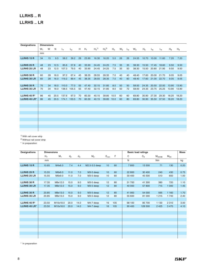# **LLRHS .. R LLRHS .. LR**

| <b>Designations</b> | <b>Dimensions</b> |    |      |       |                |    |       |            |            |       |       |       |       |                |                |       |       |                |
|---------------------|-------------------|----|------|-------|----------------|----|-------|------------|------------|-------|-------|-------|-------|----------------|----------------|-------|-------|----------------|
|                     | $W_1$             | W  | N    | $L_1$ | L <sub>2</sub> | H  | $H_1$ | $H_a^{1)}$ | $H_4^{2)}$ | $H_3$ | $W_2$ | $L_3$ | $W_3$ | H <sub>5</sub> | L <sub>6</sub> | $L_4$ | $H_8$ | H <sub>9</sub> |
|                     | mm                |    |      |       |                |    |       |            |            |       |       |       |       |                |                |       |       |                |
| <b>LLRHS 15 R</b>   | 34                | 15 | 9.5  | 58.2  | 39.2           | 28 | 23.90 | 16.30      | 16.20      | 5.0   | 26    | 26    | 24.55 | 10.70          | 10.00          | 11.60 | 7.20  | 7.20           |
|                     |                   |    |      |       |                |    |       |            |            |       |       |       |       |                |                |       |       |                |
| <b>LLRHS 25 R</b>   | 48                | 23 | 12.5 | 85.6  | 57.8           | 40 | 33.90 | 24.45      | 24.25      | 7.5   | 35    | 35    | 38.30 | 15.50          | 17.45          | 18.60 | 9.50  | 9.50           |
| <b>LLRHS 25 LR</b>  | 48                | 23 | 12.5 | 107.3 | 79.5           | 40 | 33.90 | 24.45      | 24.25      | 7.5   | 35    | 50    | 38.30 | 15.50          | 20.80          | 21.95 | 9.50  | 9.50           |
|                     |                   |    |      |       |                |    |       |            |            |       |       |       |       |                |                |       |       |                |
| <b>LLRHS 30 R</b>   | 60                | 28 | 16.0 | 97.2  | 67.4           | 45 | 38.35 | 28.55      | 28.35      | 7.0   | 40    | 40    | 48.40 | 17.60          | 20.00          | 21.70 | 9.05  | 9.05           |
| <b>LLRHS 30 LR</b>  | 60                | 28 | 16.0 | 119.2 | 89.4           | 45 | 38.35 | 28.55      | 28.35      | 7.0   | 40    | 60    | 48.40 | 17.60          | 21.00          | 22.70 | 9.05  | 9.05           |
|                     |                   |    |      |       |                |    |       |            |            |       |       |       |       |                |                |       |       |                |
| <b>LLRHS 35 R</b>   | 70                | 34 | 18.0 | 110.0 | 77.0           | 55 | 47.40 | 32.15      | 31.85      | 8.0   | 50    | 50    | 58.00 | 24.35          | 20.50          | 22.00 | 13.90 | 13.90          |
| <b>LLRHS 35 LR</b>  | 70                | 34 | 18.0 | 138.5 | 105.5          | 55 | 47.40 | 32.15      | 31.85      | 8.0   | 50    | 72    | 58.00 | 24.35          | 23.75          | 25.25 | 13.90 | 13.90          |
|                     |                   |    |      |       |                |    |       |            |            |       |       |       |       |                |                |       |       |                |
| LLRHS 45 R*         | 86                | 45 | 20.5 | 137.6 | 97.0           | 70 | 60.30 | 40.15      | 39.85      | 10.0  | 60    | 60    | 69.80 | 30.90          | 27.30          | 29.30 | 18.20 | 18.20          |
| LLRHS 45 LR*        | 86                | 45 | 20.5 | 174.1 | 133.5          | 70 | 60.30 | 40.15      | 39.85      | 10.0  | 60    | 80    | 69.80 | 30.90          | 35.50          | 37.50 | 18.20 | 18.20          |
|                     |                   |    |      |       |                |    |       |            |            |       |       |       |       |                |                |       |       |                |
|                     |                   |    |      |       |                |    |       |            |            |       |       |       |       |                |                |       |       |                |
|                     |                   |    |      |       |                |    |       |            |            |       |       |       |       |                |                |       |       |                |
|                     |                   |    |      |       |                |    |       |            |            |       |       |       |       |                |                |       |       |                |
|                     |                   |    |      |       |                |    |       |            |            |       |       |       |       |                |                |       |       |                |
|                     |                   |    |      |       |                |    |       |            |            |       |       |       |       |                |                |       |       |                |
|                     |                   |    |      |       |                |    |       |            |            |       |       |       |       |                |                |       |       |                |
|                     |                   |    |      |       |                |    |       |            |            |       |       |       |       |                |                |       |       |                |
|                     |                   |    |      |       |                |    |       |            |            |       |       |       |       |                |                |       |       |                |

<sup>1)</sup> With rail cover strip

2) Without rail cover strip

\* In preparation

| <b>Designations</b> | <b>Dimensions</b> |          |       |                         |               |    |     | <b>Basic load ratings</b> |         |             |          | <b>Mass</b> |
|---------------------|-------------------|----------|-------|-------------------------|---------------|----|-----|---------------------------|---------|-------------|----------|-------------|
|                     | H <sub>7</sub>    | $M_1$    | $d_2$ | $d_3$<br>M <sub>2</sub> |               |    | F   | C                         | $C_0$   | $M_{0A/0B}$ | $M_{0C}$ |             |
|                     | mm                |          |       |                         |               |    |     | $\mathsf{N}$              |         | Nm          |          | kg          |
| <b>LLRHS 15 R</b>   | 10.65             | M4x6.0   | 7.4   | 4.4                     | M2.5-3.5 deep | 10 | 60  | 7800                      | 13 500  | 71          | 130      | 0.20        |
|                     |                   |          |       |                         |               |    |     |                           |         |             |          |             |
| <b>LLRHS 25 R</b>   | 15.55             | M6x9.0   | 11.0  | 7.0                     | M3-5 deep     | 10 | 60  | 22 800                    | 30 400  | 240         | 430      | 0.75        |
| <b>LLRHS 25 LR</b>  | 15.55             | M6x9.0   | 11.0  | 7.0                     | M3-5 deep     | 10 | 60  | 30 400                    | 45 500  | 510         | 650      | 1.00        |
|                     |                   |          |       |                         |               |    |     |                           |         |             |          |             |
| <b>LLRHS 30 R</b>   | 17.35             | M8x12.0  | 15.0  | 9.0                     | M3-5 deep     | 12 | 80  | 31 700                    | 41 300  | 380         | 720      | 1.10        |
| <b>LLRHS 30 LR</b>  | 17.35             | M8x12.0  | 15.0  | 9.0                     | M3-5 deep     | 12 | 80  | 40 000                    | 57 800  | 715         | 1 0 0 0  | 1.45        |
|                     |                   |          |       |                         |               |    |     |                           |         |             |          |             |
| <b>LLRHS 35 R</b>   | 20.85             | M8x13.0  | 15.0  | 9.0                     | M3-5 deep     | 12 | 80  | 41 900                    | 54 000  | 565         | 1 1 6 0  | 1.70        |
| <b>LLRHS 35 LR</b>  | 20.85             | M8x13.0  | 15.0  | 9.0                     | M3-5 deep     | 12 | 80  | 55 600                    | 81 000  | 1 2 1 5     | 1740     | 2.40        |
|                     |                   |          |       |                         |               |    |     |                           |         |             |          |             |
| LLRHS 45 R*         | 23.50             | M10x18.0 | 20.0  | 14.0                    | M4-7 deep     | 16 | 105 | 68 100                    | 85 700  | 1 1 3 0     | 2 3 1 0  | 3.00        |
| LLRHS 45 LR*        | 23.50             | M10x18.0 | 20.0  | 14.0                    | M4-7 deep     | 16 | 105 | 90 400                    | 128 500 | 2 4 2 5     | 3 4 7 0  | 4.10        |
|                     |                   |          |       |                         |               |    |     |                           |         |             |          |             |
|                     |                   |          |       |                         |               |    |     |                           |         |             |          |             |
|                     |                   |          |       |                         |               |    |     |                           |         |             |          |             |
|                     |                   |          |       |                         |               |    |     |                           |         |             |          |             |
|                     |                   |          |       |                         |               |    |     |                           |         |             |          |             |
|                     |                   |          |       |                         |               |    |     |                           |         |             |          |             |
|                     |                   |          |       |                         |               |    |     |                           |         |             |          |             |
|                     |                   |          |       |                         |               |    |     |                           |         |             |          |             |
|                     |                   |          |       |                         |               |    |     |                           |         |             |          |             |

\* In preparation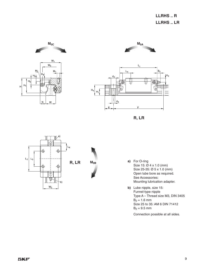**LLRHS .. R LLRHS .. LR**









- **a)** For O-ring Size 15: Ø 4 x 1.0 (mm) Size 25-35: Ø 5 x 1.0 (mm) Open lube bore as required. See Accessories: Mounting lubrication adapter.
- **b)** Lube nipple, size 15: Funnel-type nipple Type A – Thread size M3, DIN 3405  $B_2 = 1.6$  mm Size 25 to 35: AM 6 DIN 71412  $B_2 = 9.5$  mm

Connection possible at all sides.

# **SKF**